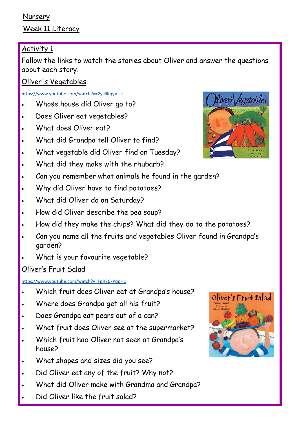## Nursery Week 11 Literacy

## Activity 1

Follow the links to watch the stories about Oliver and answer the questions about each story.

Oliver's Vegetables

#### <https://www.youtube.com/watch?v=2yvllKqyVUc>

- Whose house did Oliver go to?
- Does Oliver eat vegetables?
- What does Oliver eat?
- What did Grandpa tell Oliver to find?
- What vegetable did Oliver find on Tuesday?
- What did they make with the rhubarb?
- Can you remember what animals he found in the garden?
- Why did Oliver have to find potatoes?
- What did Oliver do on Saturday?
- How did Oliver describe the pea soup?
- How did they make the chips? What did they do to the potatoes?
- Can you name all the fruits and vegetables Oliver found in Grandpa's garden?
- What is your favourite vegetable?

## Oliver's Fruit Salad

#### <https://www.youtube.com/watch?v=FpR26kPqpHc>

- Which fruit does Oliver eat at Grandpa's house?
- Where does Grandpa get all his fruit?
- Does Grandpa eat pears out of a can?
- What fruit does Oliver see at the supermarket?
- Which fruit had Oliver not seen at Grandpa's house?
- What shapes and sizes did you see?
- Did Oliver eat any of the fruit? Why not?
- What did Oliver make with Grandma and Grandpa?
- Did Oliver like the fruit salad?



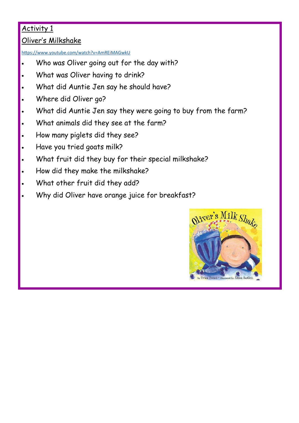## Activity 1

#### Oliver's Milkshake

<https://www.youtube.com/watch?v=AmREiMAGwkU>

- Who was Oliver going out for the day with?
- What was Oliver having to drink?
- What did Auntie Jen say he should have?
- Where did Oliver go?
- What did Auntie Jen say they were going to buy from the farm?
- What animals did they see at the farm?
- How many piglets did they see?
- Have you tried goats milk?
- What fruit did they buy for their special milkshake?
- How did they make the milkshake?
- What other fruit did they add?
- Why did Oliver have orange juice for breakfast?

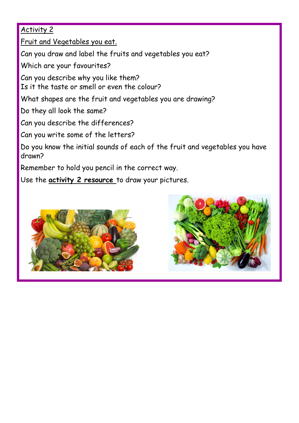### Activity 2

Fruit and Vegetables you eat.

Can you draw and label the fruits and vegetables you eat?

Which are your favourites?

Can you describe why you like them? Is it the taste or smell or even the colour?

What shapes are the fruit and vegetables you are drawing?

Do they all look the same?

Can you describe the differences?

Can you write some of the letters?

Do you know the initial sounds of each of the fruit and vegetables you have drawn?

Remember to hold you pencil in the correct way.

Use the **activity 2 resource** to draw your pictures.



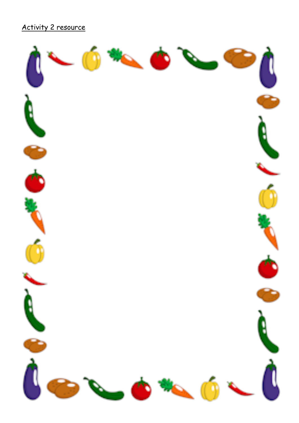# Activity 2 resource